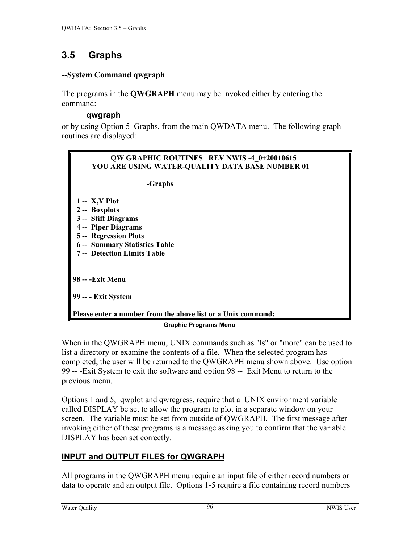# <span id="page-0-0"></span>**3.5 Graphs**

#### **--System Command qwgraph**

The programs in the **QWGRAPH** menu may be invoked either by entering the command:

#### **qwgraph**

or by using Option 5 Graphs, from the main QWDATA menu. The following graph routines are displayed:



When in the QWGRAPH menu, UNIX commands such as "ls" or "more" can be used to list a directory or examine the contents of a file. When the selected program has completed, the user will be returned to the QWGRAPH menu shown above. Use option 99 -- -Exit System to exit the software and option 98 -- Exit Menu to return to the previous menu.

Options 1 and 5, qwplot and qwregress, require that a UNIX environment variable called DISPLAY be set to allow the program to plot in a separate window on your screen. The variable must be set from outside of QWGRAPH. The first message after invoking either of these programs is a message asking you to confirm that the variable DISPLAY has been set correctly.

## **INPUT and OUTPUT FILES for QWGRAPH**

All programs in the QWGRAPH menu require an input file of either record numbers or data to operate and an output file. Options 1-5 require a file containing record numbers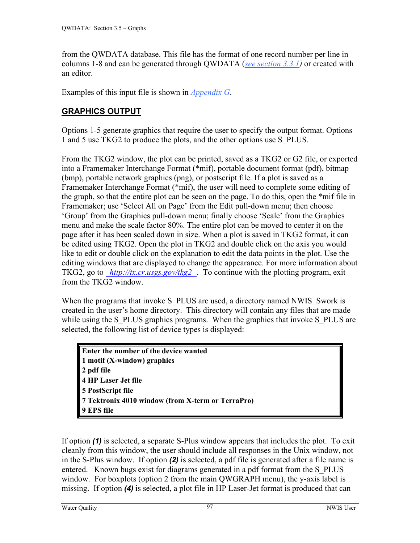from the QWDATA database. This file has the format of one record number per line in columns 1-8 and can be generated through QWDATA (*[see section 3.3.1\)](#page-0-0)* or created with an editor.

Examples of this input file is shown in *[Appendix G](#page-0-0)*.

## **GRAPHICS OUTPUT**

Options 1-5 generate graphics that require the user to specify the output format. Options 1 and 5 use TKG2 to produce the plots, and the other options use S\_PLUS.

From the TKG2 window, the plot can be printed, saved as a TKG2 or G2 file, or exported into a Framemaker Interchange Format (\*mif), portable document format (pdf), bitmap (bmp), portable network graphics (png), or postscript file. If a plot is saved as a Framemaker Interchange Format (\*mif), the user will need to complete some editing of the graph, so that the entire plot can be seen on the page. To do this, open the \*mif file in Framemaker; use 'Select All on Page' from the Edit pull-down menu; then choose 'Group' from the Graphics pull-down menu; finally choose 'Scale' from the Graphics menu and make the scale factor 80%. The entire plot can be moved to center it on the page after it has been scaled down in size. When a plot is saved in TKG2 format, it can be edited using TKG2. Open the plot in TKG2 and double click on the axis you would like to edit or double click on the explanation to edit the data points in the plot. Use the editing windows that are displayed to change the appearance. For more information about TKG2, go to *[http://tx.cr.usgs.gov/tkg2](http://tx.cr.usgs.gov/tkg2/)* . To continue with the plotting program, exit from the TKG2 window.

When the programs that invoke S\_PLUS are used, a directory named NWIS\_Swork is created in the user's home directory. This directory will contain any files that are made while using the S\_PLUS graphics programs. When the graphics that invoke S\_PLUS are selected, the following list of device types is displayed:

**Enter the number of the device wanted 1 motif (X-window) graphics 2 pdf file 4 HP Laser Jet file 5 PostScript file 7 Tektronix 4010 window (from X-term or TerraPro) 9 EPS file** 

If option *(1)* is selected, a separate S-Plus window appears that includes the plot. To exit cleanly from this window, the user should include all responses in the Unix window, not in the S-Plus window. If option *(2)* is selected, a pdf file is generated after a file name is entered. Known bugs exist for diagrams generated in a pdf format from the S\_PLUS window. For boxplots (option 2 from the main QWGRAPH menu), the y-axis label is missing. If option *(4)* is selected, a plot file in HP Laser-Jet format is produced that can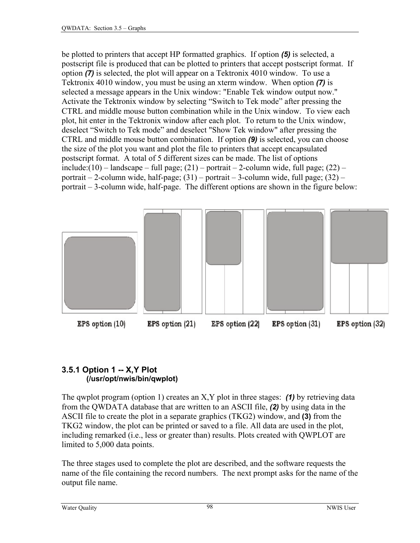be plotted to printers that accept HP formatted graphics. If option *(5)* is selected, a postscript file is produced that can be plotted to printers that accept postscript format. If option *(7)* is selected, the plot will appear on a Tektronix 4010 window. To use a Tektronix 4010 window, you must be using an xterm window. When option *(7)* is selected a message appears in the Unix window: "Enable Tek window output now." Activate the Tektronix window by selecting "Switch to Tek mode" after pressing the CTRL and middle mouse button combination while in the Unix window. To view each plot, hit enter in the Tektronix window after each plot. To return to the Unix window, deselect "Switch to Tek mode" and deselect "Show Tek window" after pressing the CTRL and middle mouse button combination. If option *(9)* is selected, you can choose the size of the plot you want and plot the file to printers that accept encapsulated postscript format. A total of 5 different sizes can be made. The list of options include: $(10)$  – landscape – full page;  $(21)$  – portrait – 2-column wide, full page;  $(22)$  – portrait – 2-column wide, half-page; (31) – portrait – 3-column wide, full page; (32) – portrait – 3-column wide, half-page. The different options are shown in the figure below:



### **3.5.1 Option 1 -- X,Y Plot (/usr/opt/nwis/bin/qwplot)**

The qwplot program (option 1) creates an X,Y plot in three stages: *(1)* by retrieving data from the QWDATA database that are written to an ASCII file, *(2)* by using data in the ASCII file to create the plot in a separate graphics (TKG2) window, and **(3)** from the TKG2 window, the plot can be printed or saved to a file. All data are used in the plot, including remarked (i.e., less or greater than) results. Plots created with QWPLOT are limited to 5,000 data points.

The three stages used to complete the plot are described, and the software requests the name of the file containing the record numbers. The next prompt asks for the name of the output file name.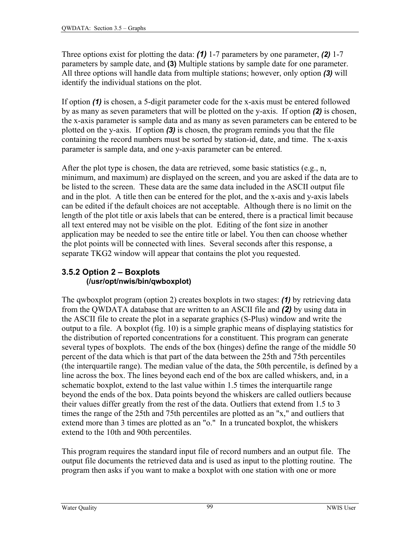Three options exist for plotting the data: *(1)* 1-7 parameters by one parameter, *(2)* 1-7 parameters by sample date, and **(3)** Multiple stations by sample date for one parameter. All three options will handle data from multiple stations; however, only option *(3)* will identify the individual stations on the plot.

If option *(1)* is chosen, a 5-digit parameter code for the x-axis must be entered followed by as many as seven parameters that will be plotted on the y-axis. If option *(2)* is chosen, the x-axis parameter is sample data and as many as seven parameters can be entered to be plotted on the y-axis. If option *(3)* is chosen, the program reminds you that the file containing the record numbers must be sorted by station-id, date, and time. The x-axis parameter is sample data, and one y-axis parameter can be entered.

After the plot type is chosen, the data are retrieved, some basic statistics (e.g., n, minimum, and maximum) are displayed on the screen, and you are asked if the data are to be listed to the screen. These data are the same data included in the ASCII output file and in the plot. A title then can be entered for the plot, and the x-axis and y-axis labels can be edited if the default choices are not acceptable. Although there is no limit on the length of the plot title or axis labels that can be entered, there is a practical limit because all text entered may not be visible on the plot. Editing of the font size in another application may be needed to see the entire title or label. You then can choose whether the plot points will be connected with lines. Several seconds after this response, a separate TKG2 window will appear that contains the plot you requested.

### **3.5.2 Option 2 – Boxplots (/usr/opt/nwis/bin/qwboxplot)**

The qwboxplot program (option 2) creates boxplots in two stages: *(1)* by retrieving data from the QWDATA database that are written to an ASCII file and *(2)* by using data in the ASCII file to create the plot in a separate graphics (S-Plus) window and write the output to a file. A boxplot (fig. 10) is a simple graphic means of displaying statistics for the distribution of reported concentrations for a constituent. This program can generate several types of boxplots. The ends of the box (hinges) define the range of the middle 50 percent of the data which is that part of the data between the 25th and 75th percentiles (the interquartile range). The median value of the data, the 50th percentile, is defined by a line across the box. The lines beyond each end of the box are called whiskers, and, in a schematic boxplot, extend to the last value within 1.5 times the interquartile range beyond the ends of the box. Data points beyond the whiskers are called outliers because their values differ greatly from the rest of the data. Outliers that extend from 1.5 to 3 times the range of the 25th and 75th percentiles are plotted as an "x," and outliers that extend more than 3 times are plotted as an "o." In a truncated boxplot, the whiskers extend to the 10th and 90th percentiles.

This program requires the standard input file of record numbers and an output file. The output file documents the retrieved data and is used as input to the plotting routine. The program then asks if you want to make a boxplot with one station with one or more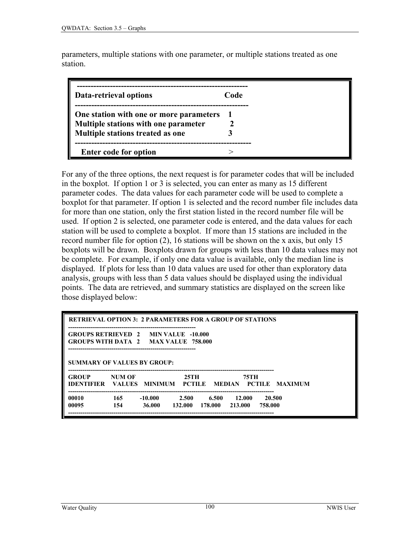parameters, multiple stations with one parameter, or multiple stations treated as one station.

| Data-retrieval options                  | Code |
|-----------------------------------------|------|
| One station with one or more parameters |      |
| Multiple stations with one parameter    |      |
| Multiple stations treated as one        |      |
|                                         |      |
| <b>Enter code for option</b>            |      |

For any of the three options, the next request is for parameter codes that will be included in the boxplot. If option 1 or 3 is selected, you can enter as many as 15 different parameter codes. The data values for each parameter code will be used to complete a boxplot for that parameter. If option 1 is selected and the record number file includes data for more than one station, only the first station listed in the record number file will be used. If option 2 is selected, one parameter code is entered, and the data values for each station will be used to complete a boxplot. If more than 15 stations are included in the record number file for option (2), 16 stations will be shown on the x axis, but only 15 boxplots will be drawn. Boxplots drawn for groups with less than 10 data values may not be complete. For example, if only one data value is available, only the median line is displayed. If plots for less than 10 data values are used for other than exploratory data analysis, groups with less than 5 data values should be displayed using the individual points. The data are retrieved, and summary statistics are displayed on the screen like those displayed below:

| <b>RETRIEVAL OPTION 3: 2 PARAMETERS FOR A GROUP OF STATIONS</b>                     |        |         |       |                         |           |         |  |
|-------------------------------------------------------------------------------------|--------|---------|-------|-------------------------|-----------|---------|--|
| <b>GROUPS RETRIEVED 2 MIN VALUE -10.000</b><br>GROUPS WITH DATA 2 MAX VALUE 758,000 |        |         |       |                         |           |         |  |
| SUMMARY OF VALUES BY GROUP:                                                         |        |         |       |                         |           |         |  |
| <b>GROUP</b>                                                                        | NUM OF |         | 25TH  |                         | 75TH      |         |  |
| <b>IDENTIFIER VALUES MINIMUM PCTILE MEDIAN PCTILE MAXIMUM</b>                       |        |         |       |                         |           |         |  |
| 00010                                                                               | 165    | -10.000 | 2.500 | 6.500                   | -- 12.000 | 20.500  |  |
| 00095                                                                               | 154    | 36.000  |       | 132.000 178.000 213.000 |           | 758.000 |  |
|                                                                                     |        |         |       |                         |           |         |  |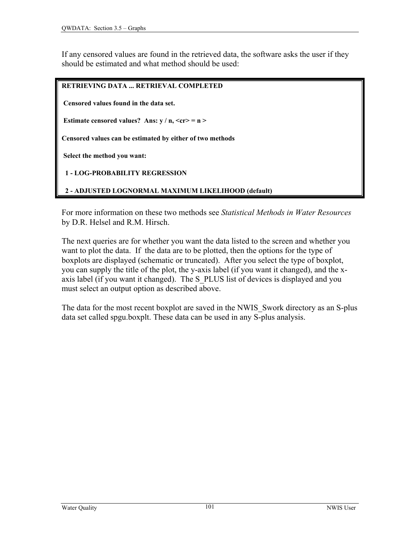If any censored values are found in the retrieved data, the software asks the user if they should be estimated and what method should be used:

#### **RETRIEVING DATA ... RETRIEVAL COMPLETED**

 **Censored values found in the data set.** 

**Estimate censored values?** Ans:  $y / n$ ,  $\langle cr \rangle = n$ 

**Censored values can be estimated by either of two methods** 

 **Select the method you want:** 

 **1 - LOG-PROBABILITY REGRESSION** 

 **2 - ADJUSTED LOGNORMAL MAXIMUM LIKELIHOOD (default)** 

For more information on these two methods see *Statistical Methods in Water Resources*  by D.R. Helsel and R.M. Hirsch.

The next queries are for whether you want the data listed to the screen and whether you want to plot the data. If the data are to be plotted, then the options for the type of boxplots are displayed (schematic or truncated). After you select the type of boxplot, you can supply the title of the plot, the y-axis label (if you want it changed), and the xaxis label (if you want it changed). The S\_PLUS list of devices is displayed and you must select an output option as described above.

The data for the most recent boxplot are saved in the NWIS\_Swork directory as an S-plus data set called spgu.boxplt. These data can be used in any S-plus analysis.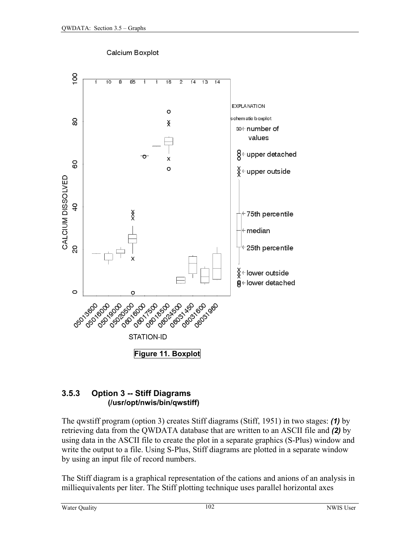

Calcium Boxplot

#### **3.5.3 Option 3 -- Stiff Diagrams (/usr/opt/nwis/bin/qwstiff)**

The qwstiff program (option 3) creates Stiff diagrams (Stiff, 1951) in two stages: *(1)* by retrieving data from the QWDATA database that are written to an ASCII file and *(2)* by using data in the ASCII file to create the plot in a separate graphics (S-Plus) window and write the output to a file. Using S-Plus, Stiff diagrams are plotted in a separate window by using an input file of record numbers.

The Stiff diagram is a graphical representation of the cations and anions of an analysis in milliequivalents per liter. The Stiff plotting technique uses parallel horizontal axes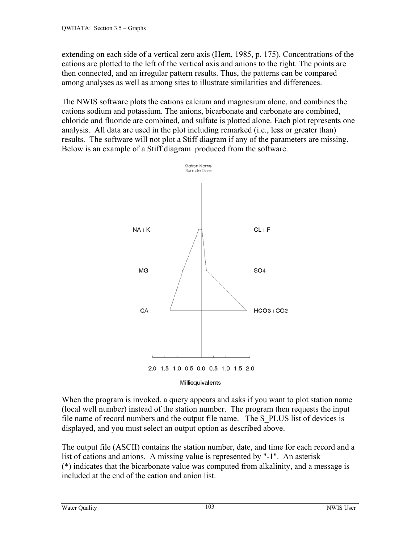extending on each side of a vertical zero axis (Hem, 1985, p. 175). Concentrations of the cations are plotted to the left of the vertical axis and anions to the right. The points are then connected, and an irregular pattern results. Thus, the patterns can be compared among analyses as well as among sites to illustrate similarities and differences.

The NWIS software plots the cations calcium and magnesium alone, and combines the cations sodium and potassium. The anions, bicarbonate and carbonate are combined, chloride and fluoride are combined, and sulfate is plotted alone. Each plot represents one analysis. All data are used in the plot including remarked (i.e., less or greater than) results. The software will not plot a Stiff diagram if any of the parameters are missing. Below is an example of a Stiff diagram produced from the software.



When the program is invoked, a query appears and asks if you want to plot station name (local well number) instead of the station number. The program then requests the input file name of record numbers and the output file name. The S\_PLUS list of devices is displayed, and you must select an output option as described above.

The output file (ASCII) contains the station number, date, and time for each record and a list of cations and anions. A missing value is represented by "-1". An asterisk (\*) indicates that the bicarbonate value was computed from alkalinity, and a message is included at the end of the cation and anion list.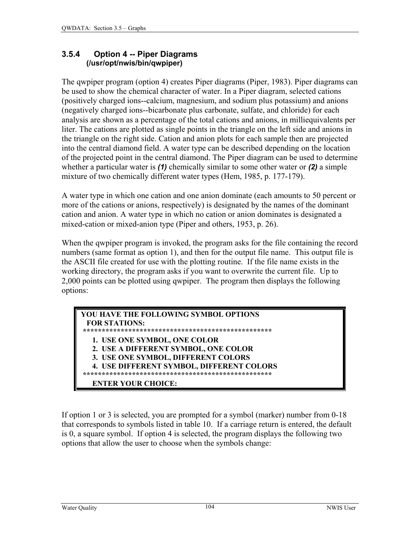#### **3.5.4 Option 4 -- Piper Diagrams (/usr/opt/nwis/bin/qwpiper)**

The qwpiper program (option 4) creates Piper diagrams (Piper, 1983). Piper diagrams can be used to show the chemical character of water. In a Piper diagram, selected cations (positively charged ions--calcium, magnesium, and sodium plus potassium) and anions (negatively charged ions--bicarbonate plus carbonate, sulfate, and chloride) for each analysis are shown as a percentage of the total cations and anions, in milliequivalents per liter. The cations are plotted as single points in the triangle on the left side and anions in the triangle on the right side. Cation and anion plots for each sample then are projected into the central diamond field. A water type can be described depending on the location of the projected point in the central diamond. The Piper diagram can be used to determine whether a particular water is *(1)* chemically similar to some other water or *(2)* a simple mixture of two chemically different water types (Hem, 1985, p. 177-179).

A water type in which one cation and one anion dominate (each amounts to 50 percent or more of the cations or anions, respectively) is designated by the names of the dominant cation and anion. A water type in which no cation or anion dominates is designated a mixed-cation or mixed-anion type (Piper and others, 1953, p. 26).

When the qwpiper program is invoked, the program asks for the file containing the record numbers (same format as option 1), and then for the output file name. This output file is the ASCII file created for use with the plotting routine. If the file name exists in the working directory, the program asks if you want to overwrite the current file. Up to 2,000 points can be plotted using qwpiper. The program then displays the following options:

| YOU HAVE THE FOLLOWING SYMBOL OPTIONS     |  |
|-------------------------------------------|--|
| <b>FOR STATIONS:</b>                      |  |
|                                           |  |
| 1. USE ONE SYMBOL, ONE COLOR              |  |
| 2. USE A DIFFERENT SYMBOL, ONE COLOR      |  |
| 3. USE ONE SYMBOL, DIFFERENT COLORS       |  |
| 4. USE DIFFERENT SYMBOL, DIFFERENT COLORS |  |
|                                           |  |
| <b>ENTER YOUR CHOICE:</b>                 |  |

If option 1 or 3 is selected, you are prompted for a symbol (marker) number from 0-18 that corresponds to symbols listed in table 10. If a carriage return is entered, the default is 0, a square symbol. If option 4 is selected, the program displays the following two options that allow the user to choose when the symbols change: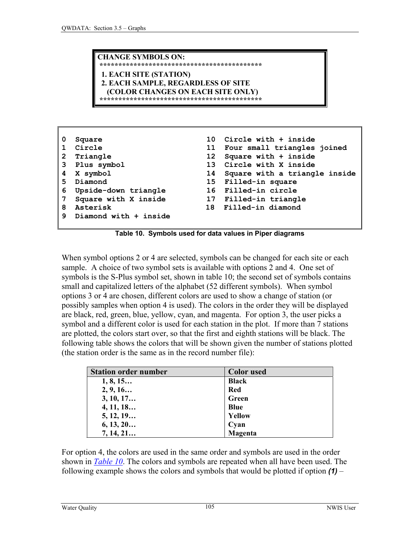**CHANGE SYMBOLS ON: \*\*\*\*\*\*\*\*\*\*\*\*\*\*\*\*\*\*\*\*\*\*\*\*\*\*\*\*\*\*\*\*\*\*\*\*\*\*\*\*\*\*\* 1. EACH SITE (STATION) 2. EACH SAMPLE, REGARDLESS OF SITE (COLOR CHANGES ON EACH SITE ONLY) \*\*\*\*\*\*\*\*\*\*\*\*\*\*\*\*\*\*\*\*\*\*\*\*\*\*\*\*\*\*\*\*\*\*\*\*\*\*\*\*\*\*\***

| 0            | Square                |    | 10 Circle with + inside        |
|--------------|-----------------------|----|--------------------------------|
| $\mathbf{1}$ | Circle                |    | 11 Four small triangles joined |
| $2^{\circ}$  | Triangle              |    | 12 Square with + inside        |
|              | 3 Plus symbol         |    | 13 Circle with X inside        |
|              | 4 X symbol            | 14 | Square with a triangle inside  |
| 5.           | Diamond               |    | 15 Filled-in square            |
| 6            | Upside-down triangle  |    | 16 Filled-in circle            |
| 7            | Square with X inside  |    | 17 Filled-in triangle          |
| 8            | Asterisk              |    | 18 Filled-in diamond           |
| 9            | Diamond with + inside |    |                                |
|              |                       |    |                                |

**Table 10. Symbols used for data values in Piper diagrams** 

When symbol options 2 or 4 are selected, symbols can be changed for each site or each sample. A choice of two symbol sets is available with options 2 and 4. One set of symbols is the S-Plus symbol set, shown in table 10; the second set of symbols contains small and capitalized letters of the alphabet (52 different symbols). When symbol options 3 or 4 are chosen, different colors are used to show a change of station (or possibly samples when option 4 is used). The colors in the order they will be displayed are black, red, green, blue, yellow, cyan, and magenta. For option 3, the user picks a symbol and a different color is used for each station in the plot. If more than 7 stations are plotted, the colors start over, so that the first and eighth stations will be black. The following table shows the colors that will be shown given the number of stations plotted (the station order is the same as in the record number file):

| <b>Station order number</b> | <b>Color</b> used |
|-----------------------------|-------------------|
| 1, 8, 15                    | <b>Black</b>      |
| 2, 9, 16                    | <b>Red</b>        |
| 3, 10, 17                   | Green             |
| 4, 11, 18                   | <b>Blue</b>       |
| 5, 12, 19                   | Yellow            |
| 6, 13, 20                   | Cyan              |
| 7, 14, 21                   | Magenta           |

For option 4, the colors are used in the same order and symbols are used in the order shown in *Table 10*. The colors and symbols are repeated when all have been used. The following example shows the colors and symbols that would be plotted if option *(1)* –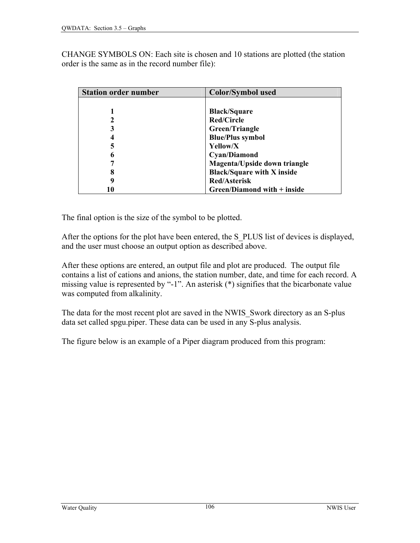CHANGE SYMBOLS ON: Each site is chosen and 10 stations are plotted (the station order is the same as in the record number file):

| <b>Station order number</b> | <b>Color/Symbol used</b>            |
|-----------------------------|-------------------------------------|
|                             |                                     |
|                             | <b>Black/Square</b>                 |
|                             | <b>Red/Circle</b>                   |
| 3                           | Green/Triangle                      |
|                             | <b>Blue/Plus symbol</b>             |
| 5                           | Yellow/X                            |
| 6                           | <b>Cyan/Diamond</b>                 |
|                             | <b>Magenta/Upside down triangle</b> |
| 8                           | <b>Black/Square with X inside</b>   |
|                             | <b>Red/Asterisk</b>                 |
| 10                          | Green/Diamond with + inside         |

The final option is the size of the symbol to be plotted.

After the options for the plot have been entered, the S. PLUS list of devices is displayed, and the user must choose an output option as described above.

After these options are entered, an output file and plot are produced. The output file contains a list of cations and anions, the station number, date, and time for each record. A missing value is represented by "-1". An asterisk (\*) signifies that the bicarbonate value was computed from alkalinity.

The data for the most recent plot are saved in the NWIS\_Swork directory as an S-plus data set called spgu.piper. These data can be used in any S-plus analysis.

The figure below is an example of a Piper diagram produced from this program: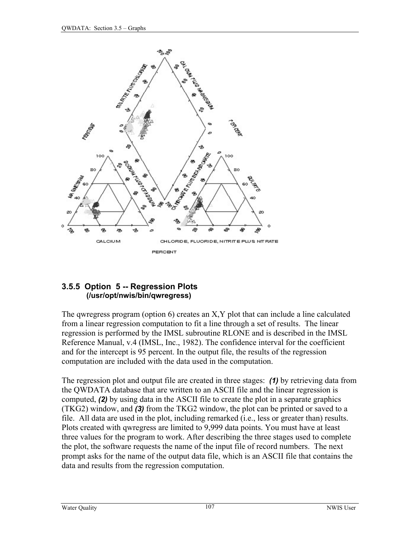

#### **3.5.5 Option 5 -- Regression Plots (/usr/opt/nwis/bin/qwregress)**

The qwregress program (option 6) creates an X,Y plot that can include a line calculated from a linear regression computation to fit a line through a set of results. The linear regression is performed by the IMSL subroutine RLONE and is described in the IMSL Reference Manual, v.4 (IMSL, Inc., 1982). The confidence interval for the coefficient and for the intercept is 95 percent. In the output file, the results of the regression computation are included with the data used in the computation.

The regression plot and output file are created in three stages: *(1)* by retrieving data from the QWDATA database that are written to an ASCII file and the linear regression is computed, *(2)* by using data in the ASCII file to create the plot in a separate graphics (TKG2) window, and *(3)* from the TKG2 window, the plot can be printed or saved to a file. All data are used in the plot, including remarked (i.e., less or greater than) results. Plots created with qwregress are limited to 9,999 data points. You must have at least three values for the program to work. After describing the three stages used to complete the plot, the software requests the name of the input file of record numbers. The next prompt asks for the name of the output data file, which is an ASCII file that contains the data and results from the regression computation.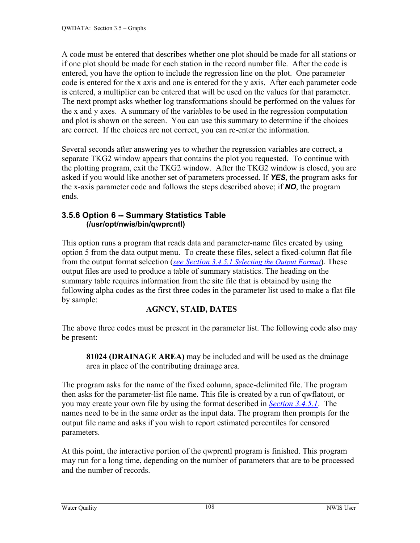A code must be entered that describes whether one plot should be made for all stations or if one plot should be made for each station in the record number file. After the code is entered, you have the option to include the regression line on the plot. One parameter code is entered for the x axis and one is entered for the y axis. After each parameter code is entered, a multiplier can be entered that will be used on the values for that parameter. The next prompt asks whether log transformations should be performed on the values for the x and y axes. A summary of the variables to be used in the regression computation and plot is shown on the screen. You can use this summary to determine if the choices are correct. If the choices are not correct, you can re-enter the information.

Several seconds after answering yes to whether the regression variables are correct, a separate TKG2 window appears that contains the plot you requested. To continue with the plotting program, exit the TKG2 window. After the TKG2 window is closed, you are asked if you would like another set of parameters processed. If *YES*, the program asks for the x-axis parameter code and follows the steps described above; if *NO*, the program ends.

#### **3.5.6 Option 6 -- Summary Statistics Table (/usr/opt/nwis/bin/qwprcntl)**

This option runs a program that reads data and parameter-name files created by using option 5 from the data output menu. To create these files, select a fixed-column flat file from the output format selection (*[see Section 3.4.5.1 Selecting the Output Format](#page-24-0)*). These output files are used to produce a table of summary statistics. The heading on the summary table requires information from the site file that is obtained by using the following alpha codes as the first three codes in the parameter list used to make a flat file by sample:

## **AGNCY, STAID, DATES**

The above three codes must be present in the parameter list. The following code also may be present:

**81024 (DRAINAGE AREA)** may be included and will be used as the drainage area in place of the contributing drainage area.

The program asks for the name of the fixed column, space-delimited file. The program then asks for the parameter-list file name. This file is created by a run of qwflatout, or you may create your own file by using the format described in *[Section 3.4.5.1](#page-24-0)*. The names need to be in the same order as the input data. The program then prompts for the output file name and asks if you wish to report estimated percentiles for censored parameters.

At this point, the interactive portion of the qwprcntl program is finished. This program may run for a long time, depending on the number of parameters that are to be processed and the number of records.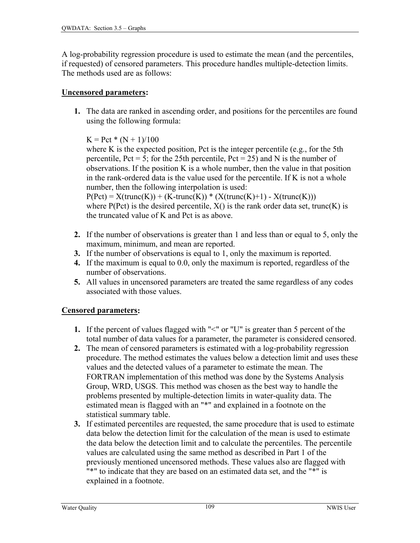A log-probability regression procedure is used to estimate the mean (and the percentiles, if requested) of censored parameters. This procedure handles multiple-detection limits. The methods used are as follows:

### **Uncensored parameters:**

**1.** The data are ranked in ascending order, and positions for the percentiles are found using the following formula:

 $K = Pet * (N + 1)/100$ 

where K is the expected position, Pct is the integer percentile (e.g., for the 5th percentile,  $Pct = 5$ ; for the 25th percentile,  $Pct = 25$ ) and N is the number of observations. If the position K is a whole number, then the value in that position in the rank-ordered data is the value used for the percentile. If K is not a whole number, then the following interpolation is used:

 $P(Pct) = X(true(K)) + (K-trunc(K)) * (X(trunc(K)+1) - X(trunc(K)))$ where  $P(Pct)$  is the desired percentile,  $X()$  is the rank order data set, trunc(K) is the truncated value of K and Pct is as above.

- **2.** If the number of observations is greater than 1 and less than or equal to 5, only the maximum, minimum, and mean are reported.
- **3.** If the number of observations is equal to 1, only the maximum is reported.
- **4.** If the maximum is equal to 0.0, only the maximum is reported, regardless of the number of observations.
- **5.** All values in uncensored parameters are treated the same regardless of any codes associated with those values.

## **Censored parameters:**

- **1.** If the percent of values flagged with "<" or "U" is greater than 5 percent of the total number of data values for a parameter, the parameter is considered censored.
- **2.** The mean of censored parameters is estimated with a log-probability regression procedure. The method estimates the values below a detection limit and uses these values and the detected values of a parameter to estimate the mean. The FORTRAN implementation of this method was done by the Systems Analysis Group, WRD, USGS. This method was chosen as the best way to handle the problems presented by multiple-detection limits in water-quality data. The estimated mean is flagged with an "\*" and explained in a footnote on the statistical summary table.
- **3.** If estimated percentiles are requested, the same procedure that is used to estimate data below the detection limit for the calculation of the mean is used to estimate the data below the detection limit and to calculate the percentiles. The percentile values are calculated using the same method as described in Part 1 of the previously mentioned uncensored methods. These values also are flagged with "\*" to indicate that they are based on an estimated data set, and the "\*" is explained in a footnote.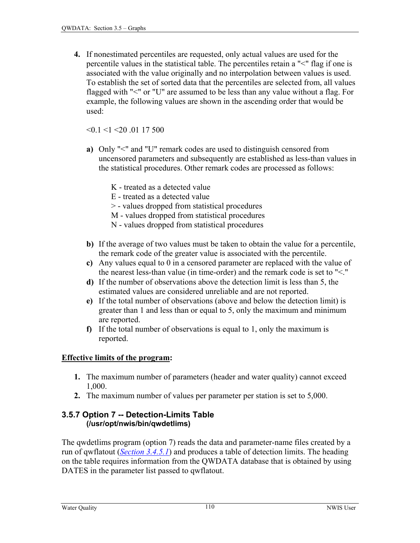**4.** If nonestimated percentiles are requested, only actual values are used for the percentile values in the statistical table. The percentiles retain a "<" flag if one is associated with the value originally and no interpolation between values is used. To establish the set of sorted data that the percentiles are selected from, all values flagged with "<" or "U" are assumed to be less than any value without a flag. For example, the following values are shown in the ascending order that would be used:

 $\leq 0.1 \leq 1 \leq 20.0117500$ 

- **a)** Only "<" and "U" remark codes are used to distinguish censored from uncensored parameters and subsequently are established as less-than values in the statistical procedures. Other remark codes are processed as follows:
	- K treated as a detected value
	- E treated as a detected value
	- > values dropped from statistical procedures
	- M values dropped from statistical procedures
	- N values dropped from statistical procedures
- **b)** If the average of two values must be taken to obtain the value for a percentile, the remark code of the greater value is associated with the percentile.
- **c)** Any values equal to 0 in a censored parameter are replaced with the value of the nearest less-than value (in time-order) and the remark code is set to "<."
- **d)** If the number of observations above the detection limit is less than 5, the estimated values are considered unreliable and are not reported.
- **e)** If the total number of observations (above and below the detection limit) is greater than 1 and less than or equal to 5, only the maximum and minimum are reported.
- **f)** If the total number of observations is equal to 1, only the maximum is reported.

#### **Effective limits of the program:**

- **1.** The maximum number of parameters (header and water quality) cannot exceed 1,000.
- **2.** The maximum number of values per parameter per station is set to 5,000.

#### **3.5.7 Option 7 -- Detection-Limits Table (/usr/opt/nwis/bin/qwdetlims)**

The qwdetlims program (option 7) reads the data and parameter-name files created by a run of qwflatout (*[Section 3.4.5.1](#page-24-0)*) and produces a table of detection limits. The heading on the table requires information from the QWDATA database that is obtained by using DATES in the parameter list passed to qwflatout.